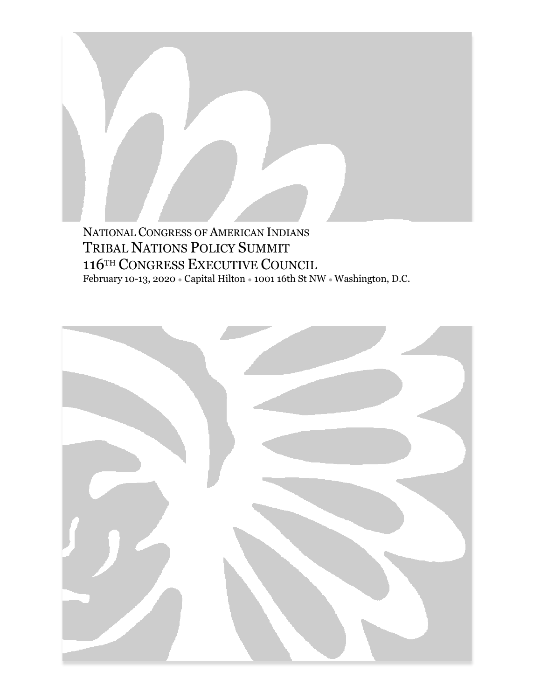NATIONAL CONGRESS OF AMERICAN INDIANS TRIBAL NATIONS POLICY SUMMIT 116TH CONGRESS EXECUTIVE COUNCIL February 10-13, 2020 ● Capital Hilton ● 1001 16th St NW ● Washington, D.C.

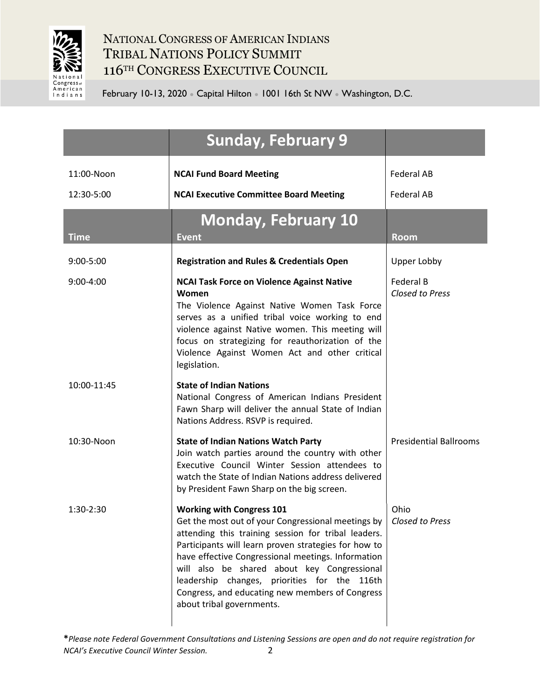

|               | <b>Sunday, February 9</b>                                                                                                                                                                                                                                                                                                                                                                                                                                          |                               |
|---------------|--------------------------------------------------------------------------------------------------------------------------------------------------------------------------------------------------------------------------------------------------------------------------------------------------------------------------------------------------------------------------------------------------------------------------------------------------------------------|-------------------------------|
| 11:00-Noon    | <b>NCAI Fund Board Meeting</b>                                                                                                                                                                                                                                                                                                                                                                                                                                     | <b>Federal AB</b>             |
| 12:30-5:00    | <b>NCAI Executive Committee Board Meeting</b>                                                                                                                                                                                                                                                                                                                                                                                                                      | Federal AB                    |
| <b>Time</b>   | <b>Monday, February 10</b><br><b>Event</b>                                                                                                                                                                                                                                                                                                                                                                                                                         | <b>Room</b>                   |
| $9:00 - 5:00$ | <b>Registration and Rules &amp; Credentials Open</b>                                                                                                                                                                                                                                                                                                                                                                                                               | Upper Lobby                   |
| $9:00 - 4:00$ | <b>NCAI Task Force on Violence Against Native</b><br>Women<br>The Violence Against Native Women Task Force<br>serves as a unified tribal voice working to end<br>violence against Native women. This meeting will<br>focus on strategizing for reauthorization of the<br>Violence Against Women Act and other critical<br>legislation.                                                                                                                             | Federal B<br>Closed to Press  |
| 10:00-11:45   | <b>State of Indian Nations</b><br>National Congress of American Indians President<br>Fawn Sharp will deliver the annual State of Indian<br>Nations Address. RSVP is required.                                                                                                                                                                                                                                                                                      |                               |
| 10:30-Noon    | <b>State of Indian Nations Watch Party</b><br>Join watch parties around the country with other<br>Executive Council Winter Session attendees to<br>watch the State of Indian Nations address delivered<br>by President Fawn Sharp on the big screen.                                                                                                                                                                                                               | <b>Presidential Ballrooms</b> |
| 1:30-2:30     | <b>Working with Congress 101</b><br>Get the most out of your Congressional meetings by $\vert$ Closed to Press<br>attending this training session for tribal leaders.<br>Participants will learn proven strategies for how to<br>have effective Congressional meetings. Information<br>will also be shared about key Congressional<br>leadership changes, priorities for the 116th<br>Congress, and educating new members of Congress<br>about tribal governments. | Ohio                          |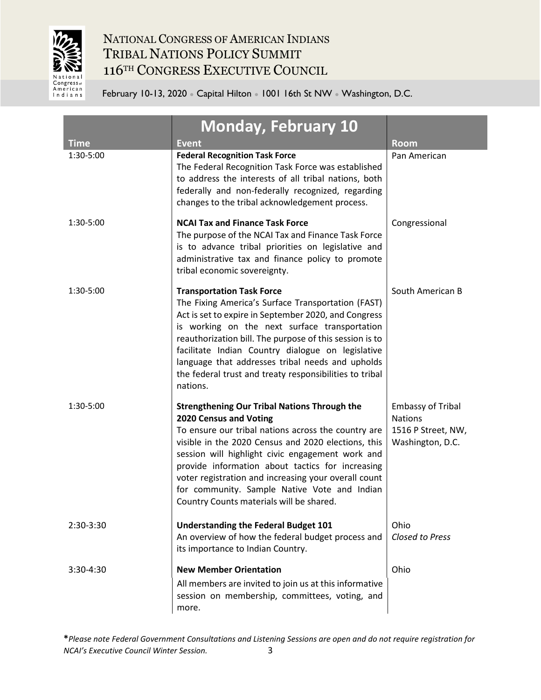

| <b>Time</b> | <b>Monday, February 10</b><br><b>Event</b>                                                                                                                                                                                                                                                                                                                                                                                                              | <b>Room</b>                                                                          |
|-------------|---------------------------------------------------------------------------------------------------------------------------------------------------------------------------------------------------------------------------------------------------------------------------------------------------------------------------------------------------------------------------------------------------------------------------------------------------------|--------------------------------------------------------------------------------------|
| 1:30-5:00   | <b>Federal Recognition Task Force</b><br>The Federal Recognition Task Force was established<br>to address the interests of all tribal nations, both<br>federally and non-federally recognized, regarding<br>changes to the tribal acknowledgement process.                                                                                                                                                                                              | Pan American                                                                         |
| 1:30-5:00   | <b>NCAI Tax and Finance Task Force</b><br>The purpose of the NCAI Tax and Finance Task Force<br>is to advance tribal priorities on legislative and<br>administrative tax and finance policy to promote<br>tribal economic sovereignty.                                                                                                                                                                                                                  | Congressional                                                                        |
| 1:30-5:00   | <b>Transportation Task Force</b><br>The Fixing America's Surface Transportation (FAST)<br>Act is set to expire in September 2020, and Congress<br>is working on the next surface transportation<br>reauthorization bill. The purpose of this session is to<br>facilitate Indian Country dialogue on legislative<br>language that addresses tribal needs and upholds<br>the federal trust and treaty responsibilities to tribal<br>nations.              | South American B                                                                     |
| 1:30-5:00   | <b>Strengthening Our Tribal Nations Through the</b><br>2020 Census and Voting<br>To ensure our tribal nations across the country are<br>visible in the 2020 Census and 2020 elections, this<br>session will highlight civic engagement work and<br>provide information about tactics for increasing<br>voter registration and increasing your overall count<br>for community. Sample Native Vote and Indian<br>Country Counts materials will be shared. | <b>Embassy of Tribal</b><br><b>Nations</b><br>1516 P Street, NW,<br>Washington, D.C. |
| 2:30-3:30   | <b>Understanding the Federal Budget 101</b><br>An overview of how the federal budget process and<br>its importance to Indian Country.                                                                                                                                                                                                                                                                                                                   | Ohio<br><b>Closed to Press</b>                                                       |
| 3:30-4:30   | <b>New Member Orientation</b><br>All members are invited to join us at this informative<br>session on membership, committees, voting, and<br>more.                                                                                                                                                                                                                                                                                                      | Ohio                                                                                 |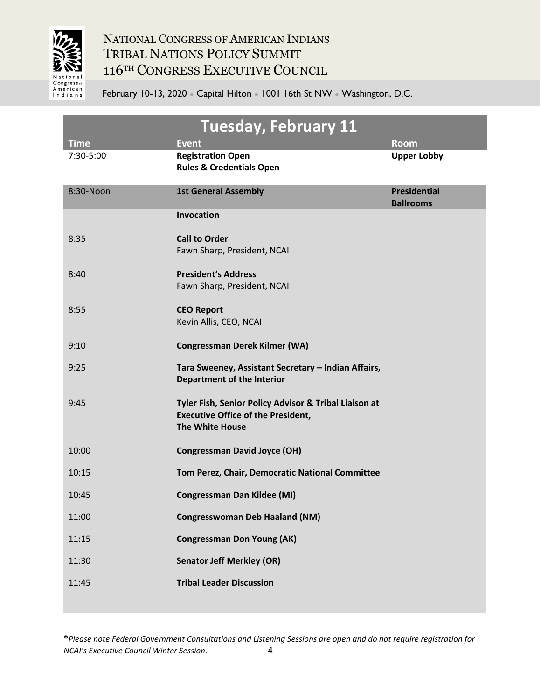

|                          | Tuesday, February 11                                                                                                         |                                         |
|--------------------------|------------------------------------------------------------------------------------------------------------------------------|-----------------------------------------|
| <b>Time</b><br>7:30-5:00 | <b>Event</b><br><b>Registration Open</b><br><b>Rules &amp; Credentials Open</b>                                              | <b>Room</b><br><b>Upper Lobby</b>       |
| 8:30-Noon                | <b>1st General Assembly</b>                                                                                                  | <b>Presidential</b><br><b>Ballrooms</b> |
|                          | Invocation                                                                                                                   |                                         |
| 8:35                     | <b>Call to Order</b><br>Fawn Sharp, President, NCAI                                                                          |                                         |
| 8:40                     | <b>President's Address</b><br>Fawn Sharp, President, NCAI                                                                    |                                         |
| 8:55                     | <b>CEO Report</b><br>Kevin Allis, CEO, NCAI                                                                                  |                                         |
| 9:10                     | <b>Congressman Derek Kilmer (WA)</b>                                                                                         |                                         |
| 9:25                     | Tara Sweeney, Assistant Secretary - Indian Affairs,<br><b>Department of the Interior</b>                                     |                                         |
| 9:45                     | Tyler Fish, Senior Policy Advisor & Tribal Liaison at<br><b>Executive Office of the President,</b><br><b>The White House</b> |                                         |
| 10:00                    | <b>Congressman David Joyce (OH)</b>                                                                                          |                                         |
| 10:15                    | Tom Perez, Chair, Democratic National Committee                                                                              |                                         |
| 10:45                    | <b>Congressman Dan Kildee (MI)</b>                                                                                           |                                         |
| 11:00                    | <b>Congresswoman Deb Haaland (NM)</b>                                                                                        |                                         |
| 11:15                    | <b>Congressman Don Young (AK)</b>                                                                                            |                                         |
| 11:30                    | <b>Senator Jeff Merkley (OR)</b>                                                                                             |                                         |
| 11:45                    | <b>Tribal Leader Discussion</b>                                                                                              |                                         |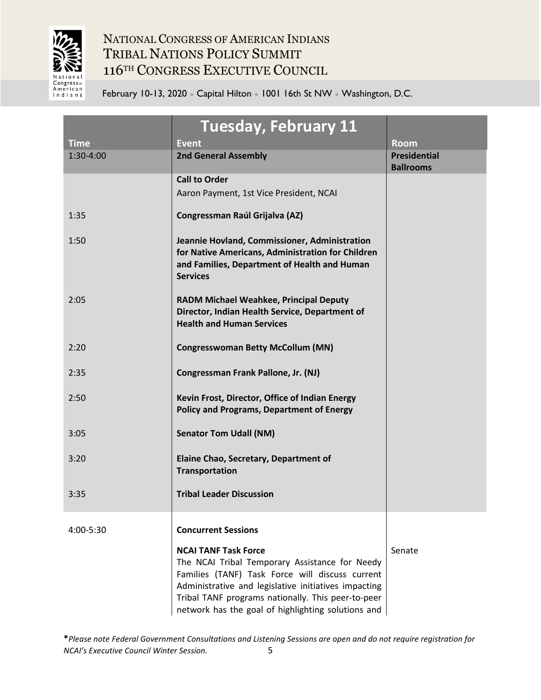

|             | <b>Tuesday, February 11</b>                                                                                                                                                                                                                                                                          |                                         |
|-------------|------------------------------------------------------------------------------------------------------------------------------------------------------------------------------------------------------------------------------------------------------------------------------------------------------|-----------------------------------------|
| <b>Time</b> | <b>Event</b>                                                                                                                                                                                                                                                                                         | <b>Room</b>                             |
| 1:30-4:00   | <b>2nd General Assembly</b>                                                                                                                                                                                                                                                                          | <b>Presidential</b><br><b>Ballrooms</b> |
|             | <b>Call to Order</b>                                                                                                                                                                                                                                                                                 |                                         |
|             | Aaron Payment, 1st Vice President, NCAI                                                                                                                                                                                                                                                              |                                         |
| 1:35        | <b>Congressman Raúl Grijalva (AZ)</b>                                                                                                                                                                                                                                                                |                                         |
| 1:50        | Jeannie Hovland, Commissioner, Administration<br>for Native Americans, Administration for Children<br>and Families, Department of Health and Human<br><b>Services</b>                                                                                                                                |                                         |
| 2:05        | <b>RADM Michael Weahkee, Principal Deputy</b><br>Director, Indian Health Service, Department of<br><b>Health and Human Services</b>                                                                                                                                                                  |                                         |
| 2:20        | <b>Congresswoman Betty McCollum (MN)</b>                                                                                                                                                                                                                                                             |                                         |
| 2:35        | Congressman Frank Pallone, Jr. (NJ)                                                                                                                                                                                                                                                                  |                                         |
| 2:50        | Kevin Frost, Director, Office of Indian Energy<br><b>Policy and Programs, Department of Energy</b>                                                                                                                                                                                                   |                                         |
| 3:05        | <b>Senator Tom Udall (NM)</b>                                                                                                                                                                                                                                                                        |                                         |
| 3:20        | Elaine Chao, Secretary, Department of<br>Transportation                                                                                                                                                                                                                                              |                                         |
| 3:35        | <b>Tribal Leader Discussion</b>                                                                                                                                                                                                                                                                      |                                         |
| 4:00-5:30   | <b>Concurrent Sessions</b>                                                                                                                                                                                                                                                                           |                                         |
|             | <b>NCAI TANF Task Force</b><br>The NCAI Tribal Temporary Assistance for Needy<br>Families (TANF) Task Force will discuss current<br>Administrative and legislative initiatives impacting<br>Tribal TANF programs nationally. This peer-to-peer<br>network has the goal of highlighting solutions and | Senate                                  |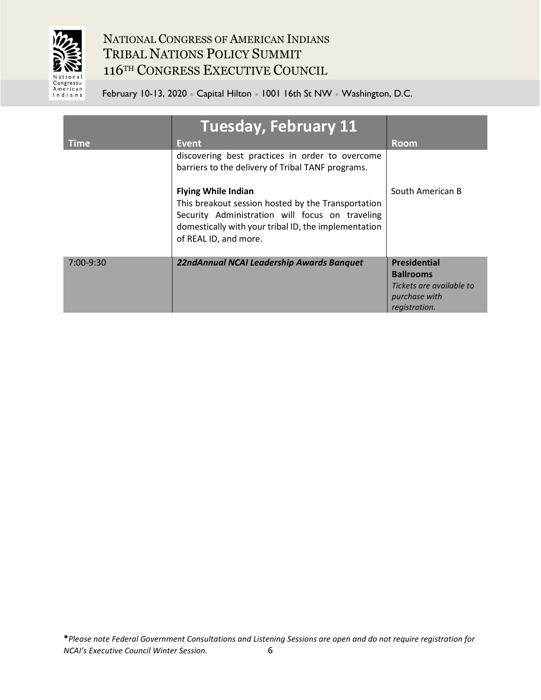

|             | <b>Tuesday, February 11</b>                                                                                                                                                                                          |                                                                                                       |
|-------------|----------------------------------------------------------------------------------------------------------------------------------------------------------------------------------------------------------------------|-------------------------------------------------------------------------------------------------------|
| <b>Time</b> | Event                                                                                                                                                                                                                | <b>Room</b>                                                                                           |
|             | discovering best practices in order to overcome<br>barriers to the delivery of Tribal TANF programs.                                                                                                                 |                                                                                                       |
|             | <b>Flying While Indian</b><br>This breakout session hosted by the Transportation<br>Security Administration will focus on traveling<br>domestically with your tribal ID, the implementation<br>of REAL ID, and more. | South American B                                                                                      |
| $7:00-9:30$ | 22ndAnnual NCAI Leadership Awards Banquet                                                                                                                                                                            | <b>Presidential</b><br><b>Ballrooms</b><br>Tickets are available to<br>purchase with<br>registration. |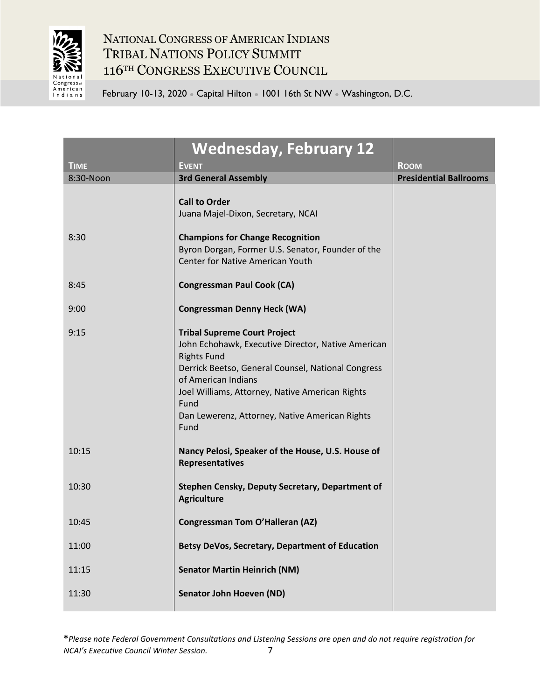

|             | <b>Wednesday, February 12</b>                                                                                                                                                                                                                                                                                     |                               |
|-------------|-------------------------------------------------------------------------------------------------------------------------------------------------------------------------------------------------------------------------------------------------------------------------------------------------------------------|-------------------------------|
| <b>TIME</b> | <b>EVENT</b>                                                                                                                                                                                                                                                                                                      | <b>ROOM</b>                   |
| 8:30-Noon   | <b>3rd General Assembly</b>                                                                                                                                                                                                                                                                                       | <b>Presidential Ballrooms</b> |
| 8:30        | <b>Call to Order</b><br>Juana Majel-Dixon, Secretary, NCAI<br><b>Champions for Change Recognition</b><br>Byron Dorgan, Former U.S. Senator, Founder of the                                                                                                                                                        |                               |
|             | <b>Center for Native American Youth</b>                                                                                                                                                                                                                                                                           |                               |
| 8:45        | <b>Congressman Paul Cook (CA)</b>                                                                                                                                                                                                                                                                                 |                               |
| 9:00        | <b>Congressman Denny Heck (WA)</b>                                                                                                                                                                                                                                                                                |                               |
| 9:15        | <b>Tribal Supreme Court Project</b><br>John Echohawk, Executive Director, Native American<br><b>Rights Fund</b><br>Derrick Beetso, General Counsel, National Congress<br>of American Indians<br>Joel Williams, Attorney, Native American Rights<br>Fund<br>Dan Lewerenz, Attorney, Native American Rights<br>Fund |                               |
| 10:15       | Nancy Pelosi, Speaker of the House, U.S. House of<br>Representatives                                                                                                                                                                                                                                              |                               |
| 10:30       | Stephen Censky, Deputy Secretary, Department of<br><b>Agriculture</b>                                                                                                                                                                                                                                             |                               |
| 10:45       | <b>Congressman Tom O'Halleran (AZ)</b>                                                                                                                                                                                                                                                                            |                               |
| 11:00       | Betsy DeVos, Secretary, Department of Education                                                                                                                                                                                                                                                                   |                               |
| 11:15       | <b>Senator Martin Heinrich (NM)</b>                                                                                                                                                                                                                                                                               |                               |
| 11:30       | <b>Senator John Hoeven (ND)</b>                                                                                                                                                                                                                                                                                   |                               |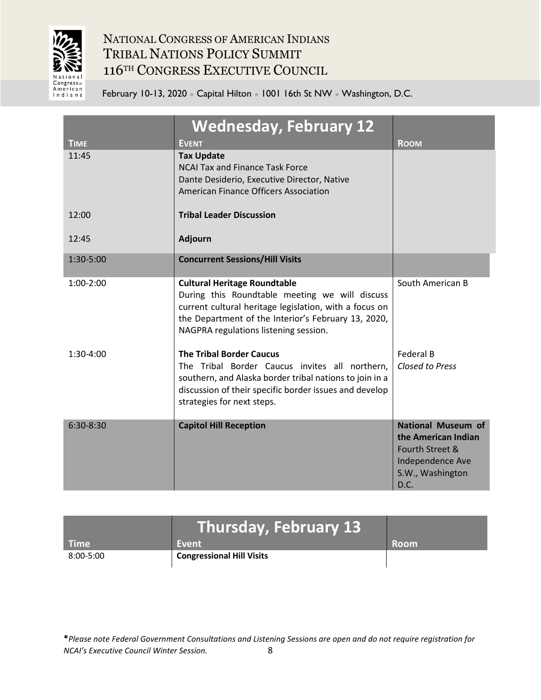

February 10-13, 2020 • Capital Hilton • 1001 16th St NW • Washington, D.C.

| <b>TIME</b> | <b>Wednesday, February 12</b><br><b>EVENT</b>                                                                                                                                                                                                   | <b>ROOM</b>                                                                                                         |
|-------------|-------------------------------------------------------------------------------------------------------------------------------------------------------------------------------------------------------------------------------------------------|---------------------------------------------------------------------------------------------------------------------|
| 11:45       | <b>Tax Update</b><br><b>NCAI Tax and Finance Task Force</b><br>Dante Desiderio, Executive Director, Native<br>American Finance Officers Association                                                                                             |                                                                                                                     |
| 12:00       | <b>Tribal Leader Discussion</b>                                                                                                                                                                                                                 |                                                                                                                     |
| 12:45       | <b>Adjourn</b>                                                                                                                                                                                                                                  |                                                                                                                     |
| 1:30-5:00   | <b>Concurrent Sessions/Hill Visits</b>                                                                                                                                                                                                          |                                                                                                                     |
| $1:00-2:00$ | <b>Cultural Heritage Roundtable</b><br>During this Roundtable meeting we will discuss<br>current cultural heritage legislation, with a focus on<br>the Department of the Interior's February 13, 2020,<br>NAGPRA regulations listening session. | South American B                                                                                                    |
| $1:30-4:00$ | <b>The Tribal Border Caucus</b><br>The Tribal Border Caucus invites all northern,<br>southern, and Alaska border tribal nations to join in a<br>discussion of their specific border issues and develop<br>strategies for next steps.            | <b>Federal B</b><br><b>Closed to Press</b>                                                                          |
| $6:30-8:30$ | <b>Capitol Hill Reception</b>                                                                                                                                                                                                                   | <b>National Museum of</b><br>the American Indian<br>Fourth Street &<br>Independence Ave<br>S.W., Washington<br>D.C. |

|             | Thursday, February 13 $^{\circ}$ |             |
|-------------|----------------------------------|-------------|
| <b>Time</b> | Event                            | <b>Room</b> |
| 8:00-5:00   | <b>Congressional Hill Visits</b> |             |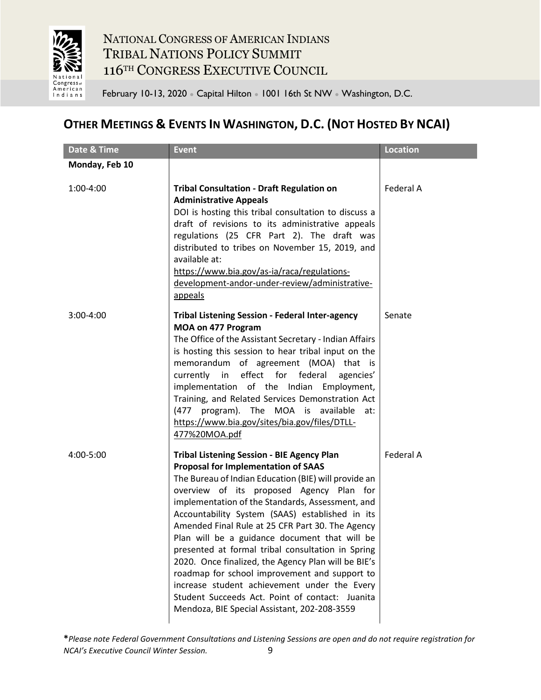

February 10-13, 2020 • Capital Hilton • 1001 16th St NW • Washington, D.C.

## **OTHER MEETINGS & EVENTS IN WASHINGTON, D.C. (NOT HOSTED BY NCAI)**

| Date & Time    | <b>Event</b>                                                                                                                                                                                                                                                                                                                                                                                                                                                                                                                                                                                                                                                                                                                    | <b>Location</b> |
|----------------|---------------------------------------------------------------------------------------------------------------------------------------------------------------------------------------------------------------------------------------------------------------------------------------------------------------------------------------------------------------------------------------------------------------------------------------------------------------------------------------------------------------------------------------------------------------------------------------------------------------------------------------------------------------------------------------------------------------------------------|-----------------|
| Monday, Feb 10 |                                                                                                                                                                                                                                                                                                                                                                                                                                                                                                                                                                                                                                                                                                                                 |                 |
| 1:00-4:00      | <b>Tribal Consultation - Draft Regulation on</b><br><b>Administrative Appeals</b><br>DOI is hosting this tribal consultation to discuss a<br>draft of revisions to its administrative appeals<br>regulations (25 CFR Part 2). The draft was<br>distributed to tribes on November 15, 2019, and<br>available at:<br>https://www.bia.gov/as-ia/raca/regulations-<br>development-andor-under-review/administrative-<br>appeals                                                                                                                                                                                                                                                                                                     | Federal A       |
| $3:00 - 4:00$  | <b>Tribal Listening Session - Federal Inter-agency</b><br>MOA on 477 Program<br>The Office of the Assistant Secretary - Indian Affairs<br>is hosting this session to hear tribal input on the<br>memorandum of agreement (MOA) that is<br>currently in effect for federal<br>agencies'<br>implementation of the Indian Employment,<br>Training, and Related Services Demonstration Act<br>(477 program). The MOA is available at:<br>https://www.bia.gov/sites/bia.gov/files/DTLL-<br>477%20MOA.pdf                                                                                                                                                                                                                             | Senate          |
| 4:00-5:00      | <b>Tribal Listening Session - BIE Agency Plan</b><br><b>Proposal for Implementation of SAAS</b><br>The Bureau of Indian Education (BIE) will provide an<br>overview of its proposed Agency Plan for<br>implementation of the Standards, Assessment, and<br>Accountability System (SAAS) established in its<br>Amended Final Rule at 25 CFR Part 30. The Agency<br>Plan will be a guidance document that will be<br>presented at formal tribal consultation in Spring<br>2020. Once finalized, the Agency Plan will be BIE's<br>roadmap for school improvement and support to<br>increase student achievement under the Every<br>Student Succeeds Act. Point of contact: Juanita<br>Mendoza, BIE Special Assistant, 202-208-3559 | Federal A       |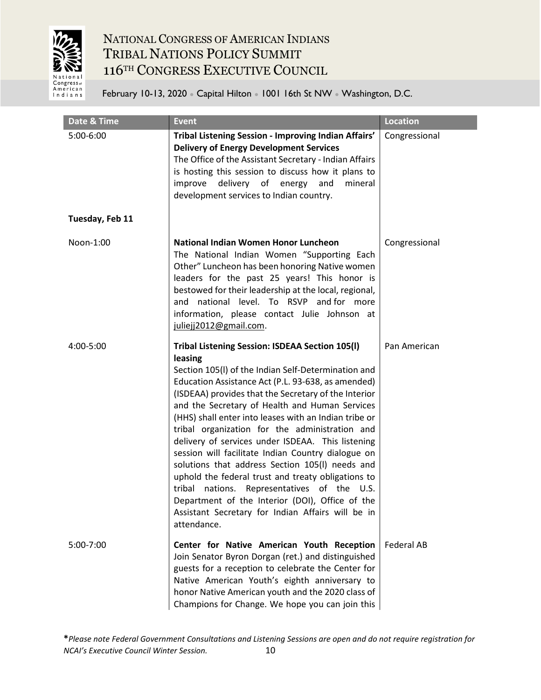

| Date & Time     | <b>Event</b>                                                                                                                                                                                                                                                                                                                                                                                                                                                                                                                                                                                                                                                                                                                                                                              | <b>Location</b>   |
|-----------------|-------------------------------------------------------------------------------------------------------------------------------------------------------------------------------------------------------------------------------------------------------------------------------------------------------------------------------------------------------------------------------------------------------------------------------------------------------------------------------------------------------------------------------------------------------------------------------------------------------------------------------------------------------------------------------------------------------------------------------------------------------------------------------------------|-------------------|
| 5:00-6:00       | Tribal Listening Session - Improving Indian Affairs'<br><b>Delivery of Energy Development Services</b><br>The Office of the Assistant Secretary - Indian Affairs<br>is hosting this session to discuss how it plans to<br>delivery of energy<br>and<br>improve<br>mineral<br>development services to Indian country.                                                                                                                                                                                                                                                                                                                                                                                                                                                                      | Congressional     |
| Tuesday, Feb 11 |                                                                                                                                                                                                                                                                                                                                                                                                                                                                                                                                                                                                                                                                                                                                                                                           |                   |
| Noon-1:00       | National Indian Women Honor Luncheon<br>The National Indian Women "Supporting Each<br>Other" Luncheon has been honoring Native women<br>leaders for the past 25 years! This honor is<br>bestowed for their leadership at the local, regional,<br>national level. To RSVP and for more<br>and<br>information, please contact Julie Johnson at<br>juliejj2012@gmail.com.                                                                                                                                                                                                                                                                                                                                                                                                                    | Congressional     |
| 4:00-5:00       | Tribal Listening Session: ISDEAA Section 105(I)<br>leasing<br>Section 105(I) of the Indian Self-Determination and<br>Education Assistance Act (P.L. 93-638, as amended)<br>(ISDEAA) provides that the Secretary of the Interior<br>and the Secretary of Health and Human Services<br>(HHS) shall enter into leases with an Indian tribe or<br>tribal organization for the administration and<br>delivery of services under ISDEAA. This listening<br>session will facilitate Indian Country dialogue on<br>solutions that address Section 105(I) needs and<br>uphold the federal trust and treaty obligations to<br>tribal<br>nations. Representatives of the U.S.<br>Department of the Interior (DOI), Office of the<br>Assistant Secretary for Indian Affairs will be in<br>attendance. | Pan American      |
| 5:00-7:00       | Center for Native American Youth Reception<br>Join Senator Byron Dorgan (ret.) and distinguished<br>guests for a reception to celebrate the Center for<br>Native American Youth's eighth anniversary to<br>honor Native American youth and the 2020 class of<br>Champions for Change. We hope you can join this                                                                                                                                                                                                                                                                                                                                                                                                                                                                           | <b>Federal AB</b> |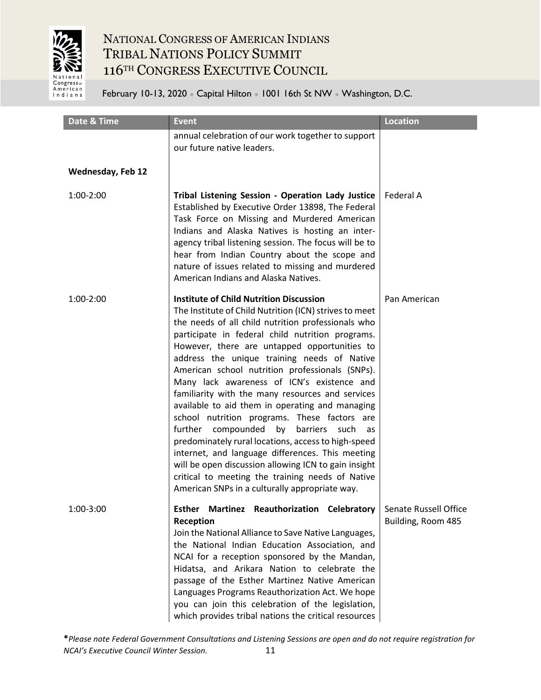

February 10-13, 2020 • Capital Hilton • 1001 16th St NW • Washington, D.C.

| Date & Time              | <b>Event</b>                                                                                                                                                                                                                                                                                                                                                                                                                                                                                                                                                                                                                                                                                                                                                                                                                                                                                                | <b>Location</b>                             |
|--------------------------|-------------------------------------------------------------------------------------------------------------------------------------------------------------------------------------------------------------------------------------------------------------------------------------------------------------------------------------------------------------------------------------------------------------------------------------------------------------------------------------------------------------------------------------------------------------------------------------------------------------------------------------------------------------------------------------------------------------------------------------------------------------------------------------------------------------------------------------------------------------------------------------------------------------|---------------------------------------------|
|                          | annual celebration of our work together to support<br>our future native leaders.                                                                                                                                                                                                                                                                                                                                                                                                                                                                                                                                                                                                                                                                                                                                                                                                                            |                                             |
| <b>Wednesday, Feb 12</b> |                                                                                                                                                                                                                                                                                                                                                                                                                                                                                                                                                                                                                                                                                                                                                                                                                                                                                                             |                                             |
| 1:00-2:00                | Tribal Listening Session - Operation Lady Justice<br>Established by Executive Order 13898, The Federal<br>Task Force on Missing and Murdered American<br>Indians and Alaska Natives is hosting an inter-<br>agency tribal listening session. The focus will be to<br>hear from Indian Country about the scope and<br>nature of issues related to missing and murdered<br>American Indians and Alaska Natives.                                                                                                                                                                                                                                                                                                                                                                                                                                                                                               | Federal A                                   |
| 1:00-2:00                | <b>Institute of Child Nutrition Discussion</b><br>The Institute of Child Nutrition (ICN) strives to meet<br>the needs of all child nutrition professionals who<br>participate in federal child nutrition programs.<br>However, there are untapped opportunities to<br>address the unique training needs of Native<br>American school nutrition professionals (SNPs).<br>Many lack awareness of ICN's existence and<br>familiarity with the many resources and services<br>available to aid them in operating and managing<br>school nutrition programs. These factors are<br>compounded<br>by<br>barriers<br>further<br>such<br>as<br>predominately rural locations, access to high-speed<br>internet, and language differences. This meeting<br>will be open discussion allowing ICN to gain insight<br>critical to meeting the training needs of Native<br>American SNPs in a culturally appropriate way. | Pan American                                |
| 1:00-3:00                | Esther Martinez Reauthorization Celebratory<br>Reception<br>Join the National Alliance to Save Native Languages,<br>the National Indian Education Association, and<br>NCAI for a reception sponsored by the Mandan,<br>Hidatsa, and Arikara Nation to celebrate the<br>passage of the Esther Martinez Native American<br>Languages Programs Reauthorization Act. We hope<br>you can join this celebration of the legislation,<br>which provides tribal nations the critical resources                                                                                                                                                                                                                                                                                                                                                                                                                       | Senate Russell Office<br>Building, Room 485 |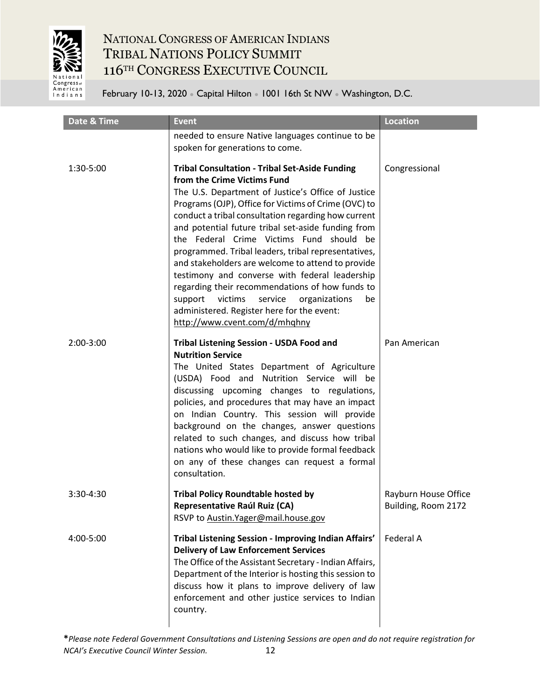

| Date & Time | <b>Event</b>                                                                                                                                                                                                                                                                                                                                                                                                                                                                                                                                                                                                                                                                                                        | <b>Location</b>                             |
|-------------|---------------------------------------------------------------------------------------------------------------------------------------------------------------------------------------------------------------------------------------------------------------------------------------------------------------------------------------------------------------------------------------------------------------------------------------------------------------------------------------------------------------------------------------------------------------------------------------------------------------------------------------------------------------------------------------------------------------------|---------------------------------------------|
|             | needed to ensure Native languages continue to be<br>spoken for generations to come.                                                                                                                                                                                                                                                                                                                                                                                                                                                                                                                                                                                                                                 |                                             |
| 1:30-5:00   | <b>Tribal Consultation - Tribal Set-Aside Funding</b><br>from the Crime Victims Fund<br>The U.S. Department of Justice's Office of Justice<br>Programs (OJP), Office for Victims of Crime (OVC) to<br>conduct a tribal consultation regarding how current<br>and potential future tribal set-aside funding from<br>the Federal Crime Victims Fund should be<br>programmed. Tribal leaders, tribal representatives,<br>and stakeholders are welcome to attend to provide<br>testimony and converse with federal leadership<br>regarding their recommendations of how funds to<br>victims<br>support<br>service<br>organizations<br>be<br>administered. Register here for the event:<br>http://www.cvent.com/d/mhqhny | Congressional                               |
| 2:00-3:00   | Tribal Listening Session - USDA Food and<br><b>Nutrition Service</b><br>The United States Department of Agriculture<br>(USDA) Food and Nutrition Service will be<br>discussing upcoming changes to regulations,<br>policies, and procedures that may have an impact<br>on Indian Country. This session will provide<br>background on the changes, answer questions<br>related to such changes, and discuss how tribal<br>nations who would like to provide formal feedback<br>on any of these changes can request a formal<br>consultation.                                                                                                                                                                         | Pan American                                |
| 3:30-4:30   | <b>Tribal Policy Roundtable hosted by</b><br><b>Representative Raúl Ruiz (CA)</b><br>RSVP to Austin. Yager@mail.house.gov                                                                                                                                                                                                                                                                                                                                                                                                                                                                                                                                                                                           | Rayburn House Office<br>Building, Room 2172 |
| 4:00-5:00   | Tribal Listening Session - Improving Indian Affairs'<br><b>Delivery of Law Enforcement Services</b><br>The Office of the Assistant Secretary - Indian Affairs,<br>Department of the Interior is hosting this session to<br>discuss how it plans to improve delivery of law<br>enforcement and other justice services to Indian<br>country.                                                                                                                                                                                                                                                                                                                                                                          | Federal A                                   |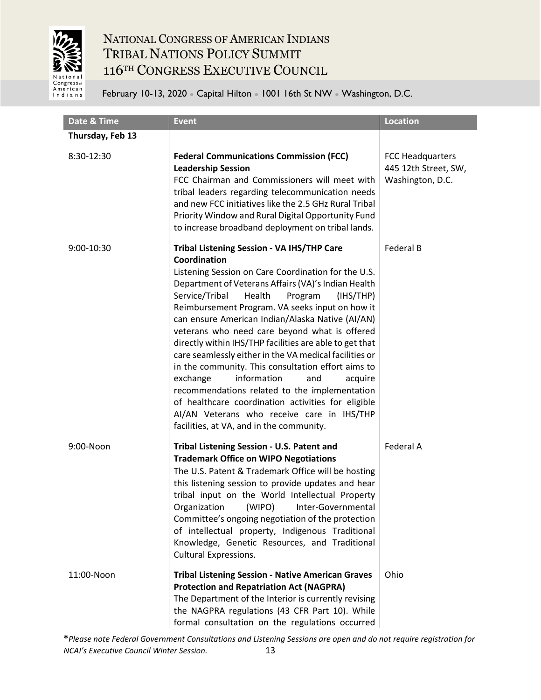

February 10-13, 2020 ● Capital Hilton ● 1001 16th St NW ● Washington, D.C.

| Date & Time      | <b>Event</b>                                                                                                                                                                                                                                                                                                                                                                                                                                                                                                                                                                                                                                                                                                                                                                                                  | <b>Location</b>                                                     |
|------------------|---------------------------------------------------------------------------------------------------------------------------------------------------------------------------------------------------------------------------------------------------------------------------------------------------------------------------------------------------------------------------------------------------------------------------------------------------------------------------------------------------------------------------------------------------------------------------------------------------------------------------------------------------------------------------------------------------------------------------------------------------------------------------------------------------------------|---------------------------------------------------------------------|
| Thursday, Feb 13 |                                                                                                                                                                                                                                                                                                                                                                                                                                                                                                                                                                                                                                                                                                                                                                                                               |                                                                     |
| 8:30-12:30       | <b>Federal Communications Commission (FCC)</b><br><b>Leadership Session</b><br>FCC Chairman and Commissioners will meet with<br>tribal leaders regarding telecommunication needs<br>and new FCC initiatives like the 2.5 GHz Rural Tribal<br>Priority Window and Rural Digital Opportunity Fund<br>to increase broadband deployment on tribal lands.                                                                                                                                                                                                                                                                                                                                                                                                                                                          | <b>FCC Headquarters</b><br>445 12th Street, SW,<br>Washington, D.C. |
| 9:00-10:30       | Tribal Listening Session - VA IHS/THP Care<br>Coordination<br>Listening Session on Care Coordination for the U.S.<br>Department of Veterans Affairs (VA)'s Indian Health<br>Service/Tribal<br>Health<br>Program<br>(IHS/THP)<br>Reimbursement Program. VA seeks input on how it<br>can ensure American Indian/Alaska Native (AI/AN)<br>veterans who need care beyond what is offered<br>directly within IHS/THP facilities are able to get that<br>care seamlessly either in the VA medical facilities or<br>in the community. This consultation effort aims to<br>information<br>exchange<br>and<br>acquire<br>recommendations related to the implementation<br>of healthcare coordination activities for eligible<br>AI/AN Veterans who receive care in IHS/THP<br>facilities, at VA, and in the community. | <b>Federal B</b>                                                    |
| 9:00-Noon        | Tribal Listening Session - U.S. Patent and<br><b>Trademark Office on WIPO Negotiations</b><br>The U.S. Patent & Trademark Office will be hosting<br>this listening session to provide updates and hear<br>tribal input on the World Intellectual Property<br>(WIPO)<br>Organization<br>Inter-Governmental<br>Committee's ongoing negotiation of the protection<br>of intellectual property, Indigenous Traditional<br>Knowledge, Genetic Resources, and Traditional<br><b>Cultural Expressions.</b>                                                                                                                                                                                                                                                                                                           | Federal A                                                           |
| 11:00-Noon       | <b>Tribal Listening Session - Native American Graves</b><br><b>Protection and Repatriation Act (NAGPRA)</b><br>The Department of the Interior is currently revising<br>the NAGPRA regulations (43 CFR Part 10). While<br>formal consultation on the regulations occurred                                                                                                                                                                                                                                                                                                                                                                                                                                                                                                                                      | Ohio                                                                |